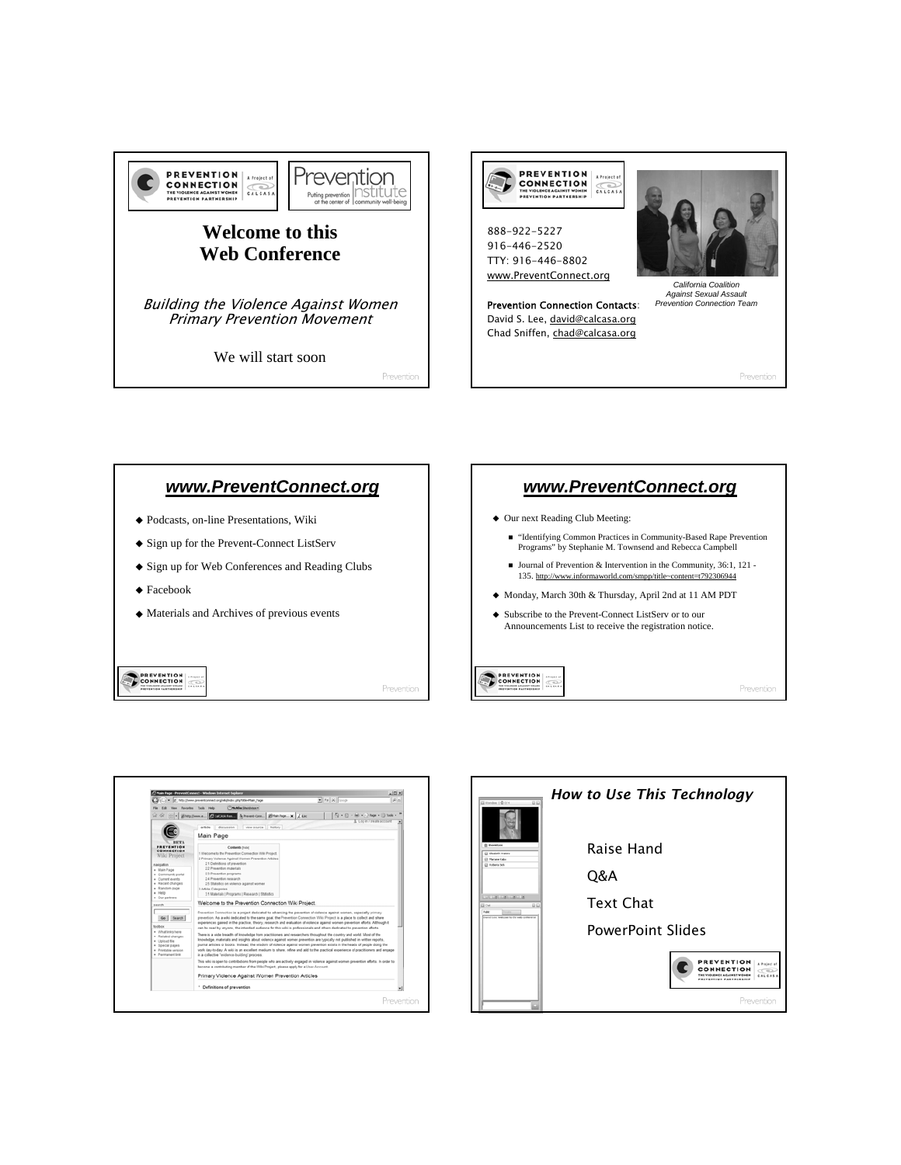



## *www.PreventConnect.org*

- $\blacklozenge$  Podcasts, on-line Presentations, Wiki
- $\blacklozenge$  Sign up for the Prevent-Connect ListServ
- $\blacklozenge$  Sign up for Web Conferences and Reading Clubs
- ◆ Facebook

PREVENTION<br>CONNECTION

Materials and Archives of previous events

## *www.PreventConnect.org*

Our next Reading Club Meeting:

PREVENTION

- "Identifying Common Practices in Community-Based Rape Prevention Programs" by Stephanie M. Townsend and Rebecca Campbell
- Journal of Prevention & Intervention in the Community,  $36:1$ ,  $121$  -135. http://www.informaworld.com/smpp/title~content=t792306944
- Monday, March 30th & Thursday, April 2nd at 11 AM PDT
- Subscribe to the Prevent-Connect ListServ or to our Announcements List to receive the registration notice.



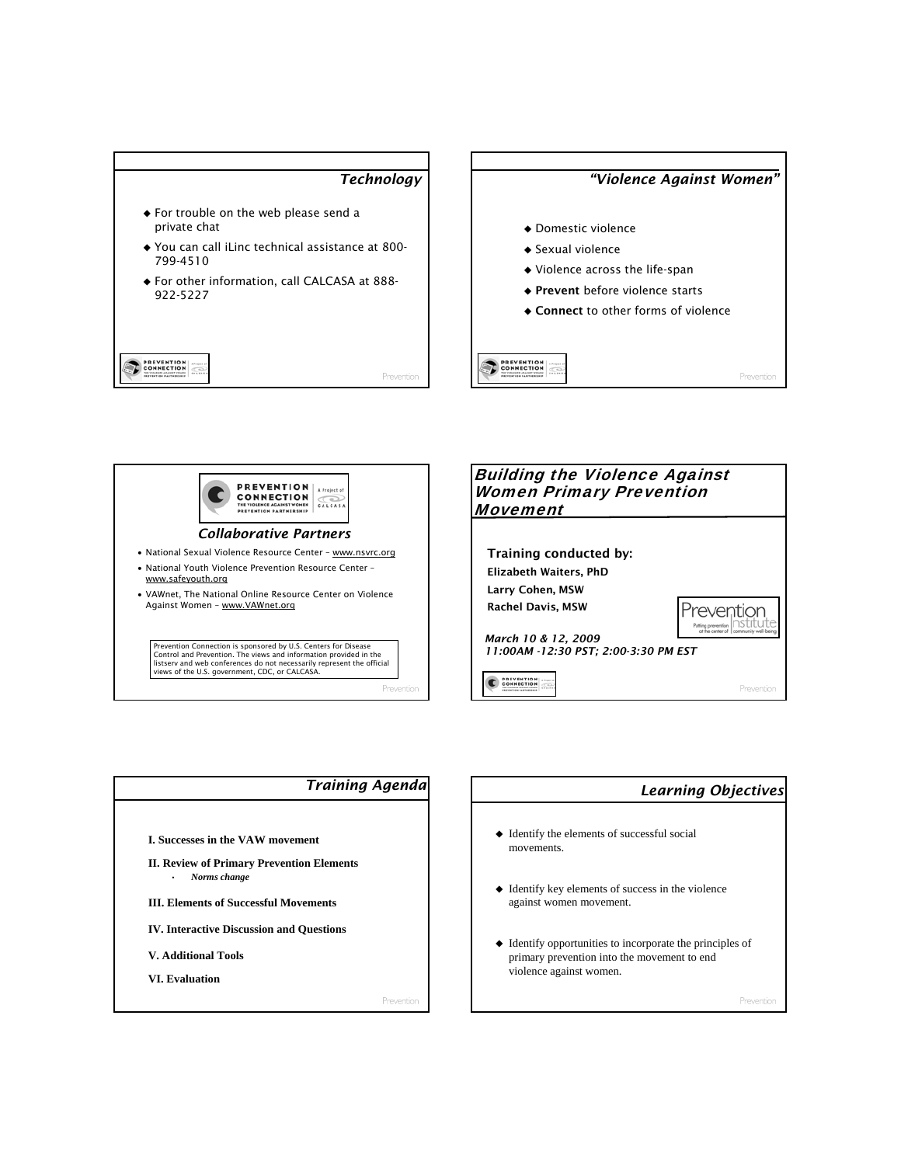







## *Learning Objectives*

- $\blacklozenge$  Identify the elements of successful social movements.
- Identify key elements of success in the violence against women movement.
- $\blacklozenge$  Identify opportunities to incorporate the principles of primary prevention into the movement to end violence against women.

Preventio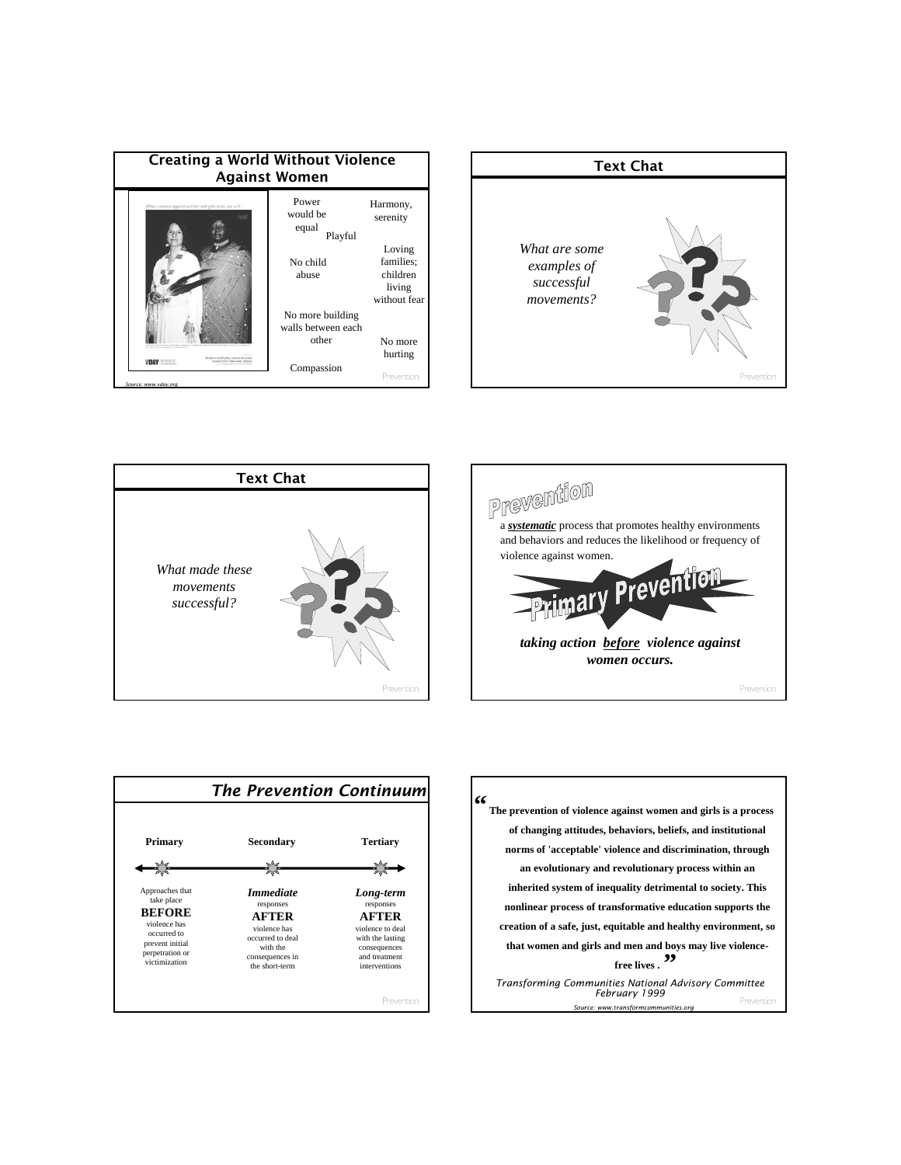| <b>Creating a World Without Violence</b>              | <b>Against Women</b>                              |                                             |
|-------------------------------------------------------|---------------------------------------------------|---------------------------------------------|
| When violence against women and girls ends, we will   | Power<br>would be<br>equal<br>Playful<br>No child | Harmony,<br>serenity<br>Loving<br>families: |
|                                                       | abuse                                             | children<br>living<br>without fear          |
|                                                       | No more building<br>walls between each<br>other   |                                             |
| and the base vehicles has and<br>Source: www.vday.org | Compassion                                        | No more<br>hurting<br>Prevention            |









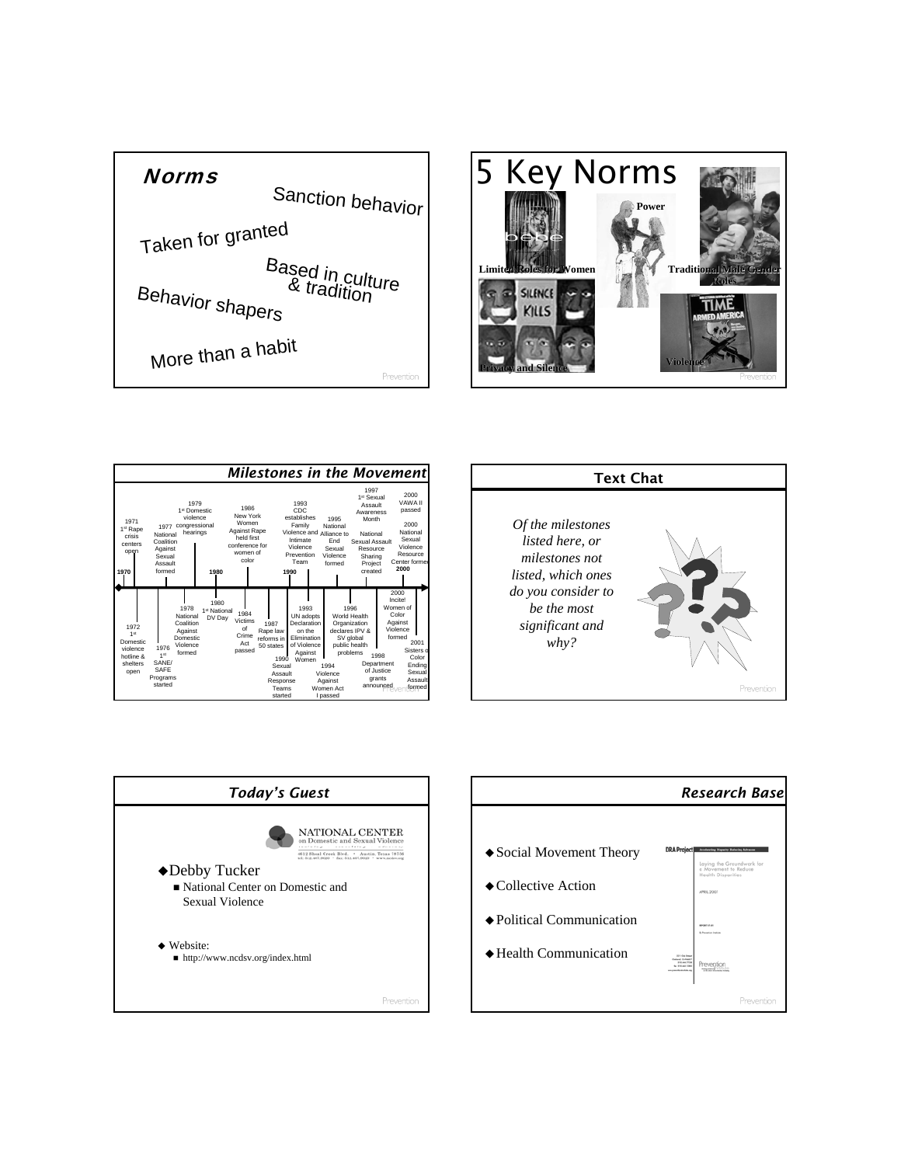



|                                                                                  |                                                                                                                                                                                        | Milestones in the Movement                                                                                                                                  |                                                                                                                         |                                                                                                                                                                                                  |                                                                                                                                                                                                         |
|----------------------------------------------------------------------------------|----------------------------------------------------------------------------------------------------------------------------------------------------------------------------------------|-------------------------------------------------------------------------------------------------------------------------------------------------------------|-------------------------------------------------------------------------------------------------------------------------|--------------------------------------------------------------------------------------------------------------------------------------------------------------------------------------------------|---------------------------------------------------------------------------------------------------------------------------------------------------------------------------------------------------------|
| 1971<br>1st Rape<br>crisis<br>centers<br>open<br>1970                            | 1979<br>1st Domestic<br>violence<br>congressional<br>1977<br>hearings<br>National<br>Coalition<br>Against<br>Sexual<br>Assault<br>formed<br>1980                                       | 1986<br>New York<br>Women<br><b>Against Rape</b><br>held first<br>conference for<br>women of<br>color                                                       | 1993<br>CDC.<br>establishes<br>Family<br>Violence and Alliance to<br>Intimate<br>Violence<br>Prevention<br>Team<br>1990 | 1997<br>1st Sexual<br>Assault<br>Awareness<br>1995<br>Month<br>National<br>National<br><b>Fnd</b><br>Sexual Assault<br>Sexual<br>Resource<br>Violence<br>Sharing<br>formed<br>Project<br>created | 2000<br>VAWA II<br>passed<br>2000<br>National<br>Sexual<br>Violence<br>Resource<br>Center forme<br>2000                                                                                                 |
| 1972<br>1 <sup>st</sup><br>Domestic<br>violence<br>hotline &<br>shelters<br>open | 1980<br>1978<br>1st National<br>National<br>DV Day<br>Coalition<br>Against<br><b>Domestic</b><br>Violence<br>1976<br>formed<br>1 <sup>st</sup><br>SANF/<br>SAFF<br>Programs<br>started | 1984<br>Victims<br>1987<br>of<br>Rape law<br>Crime<br>reforms in<br>Act<br>50 states<br>passed<br>1990<br>Sexual<br>Assault<br>Response<br>Teams<br>started | 1993<br>UN adopts<br>Declaration<br>on the<br>Elimination<br>of Violence<br>Against<br>Women                            | 1996<br>World Health<br>Organization<br>declares IPV &<br>SV global<br>public health<br>problems<br>1994<br>Violence<br>Against<br>Women Act<br>I passed                                         | 2000<br>Incitel<br>Women of<br>Color<br>Against<br>Violence<br>formed<br>2001<br>Sisters o<br>1998<br>Color<br>Department<br>Ending<br>of Justice<br>Sexual<br>grants<br>Assault<br>announced<br>formed |





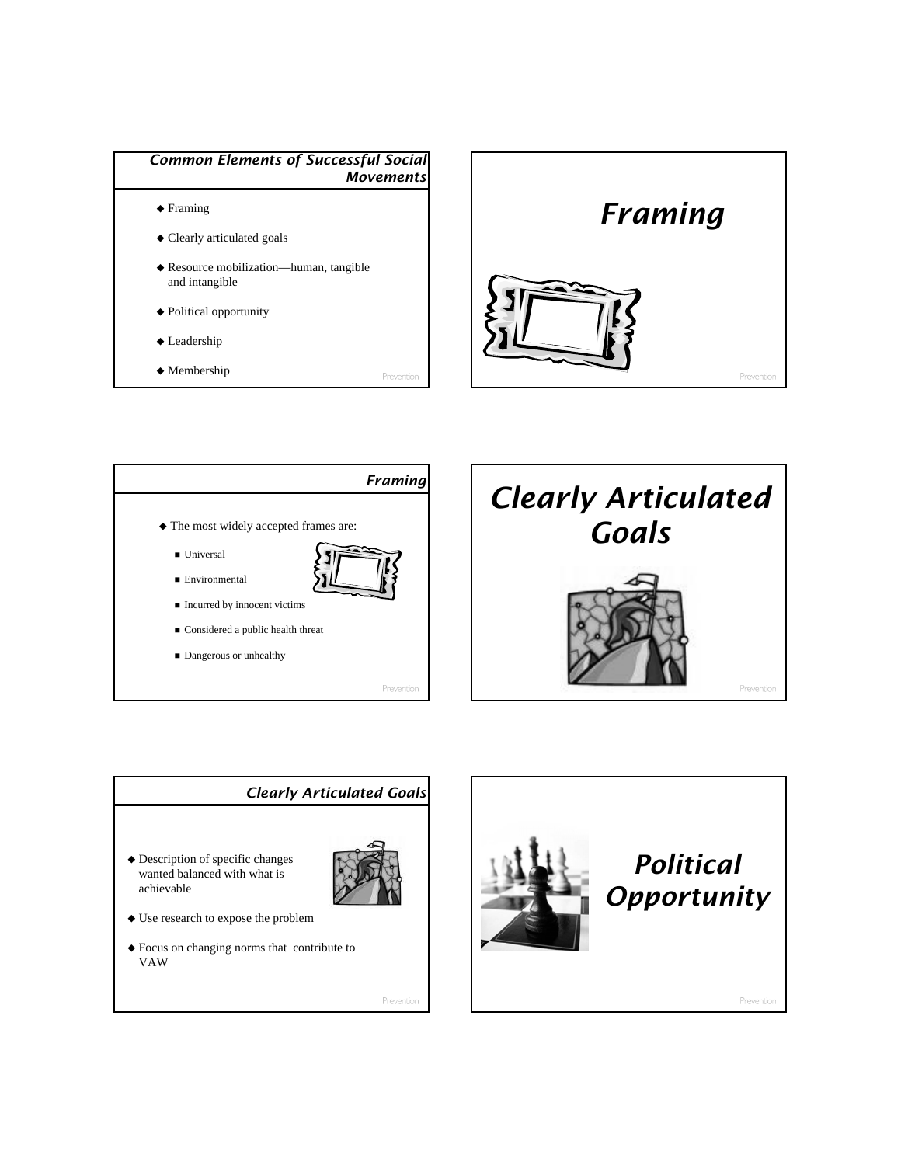









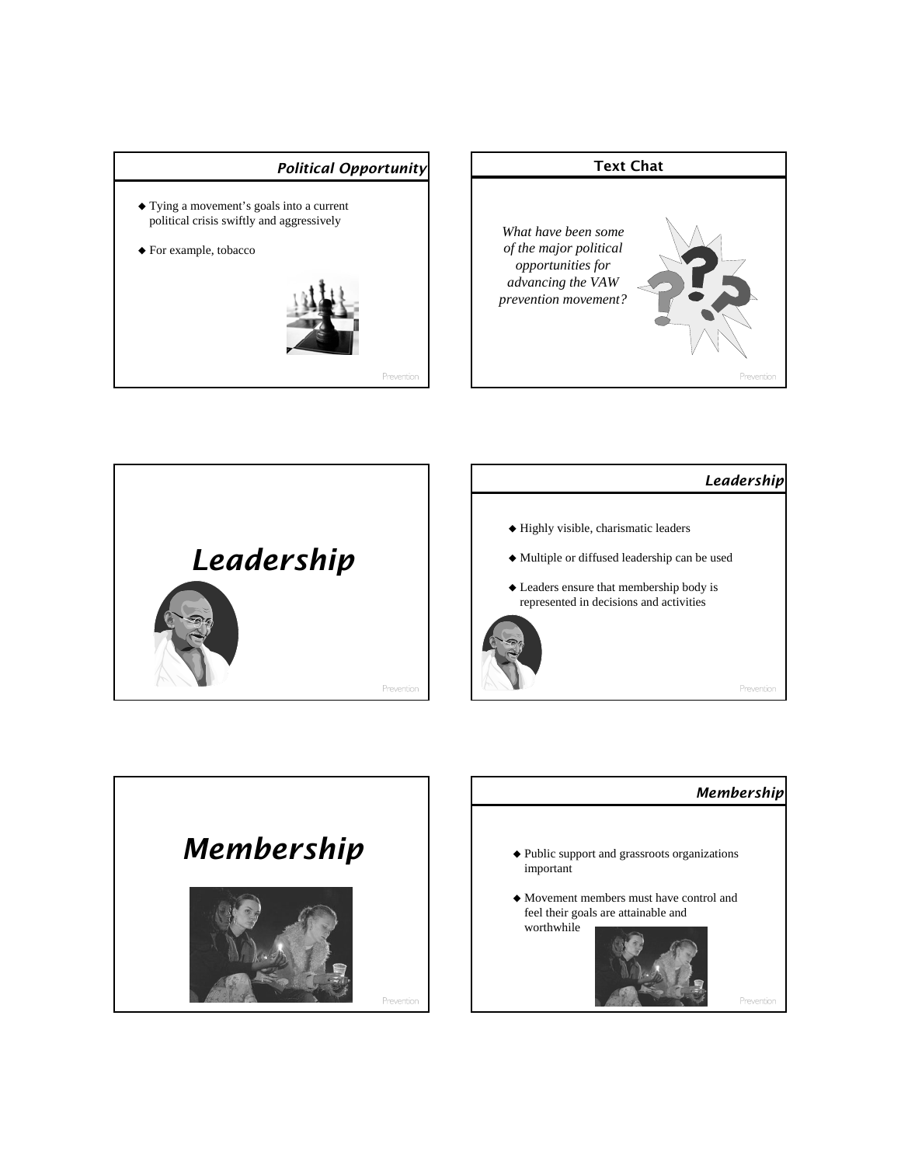## *Political Opportunity*

- $\triangle$  Tying a movement's goals into a current political crisis swiftly and aggressively
- For example, tobacco









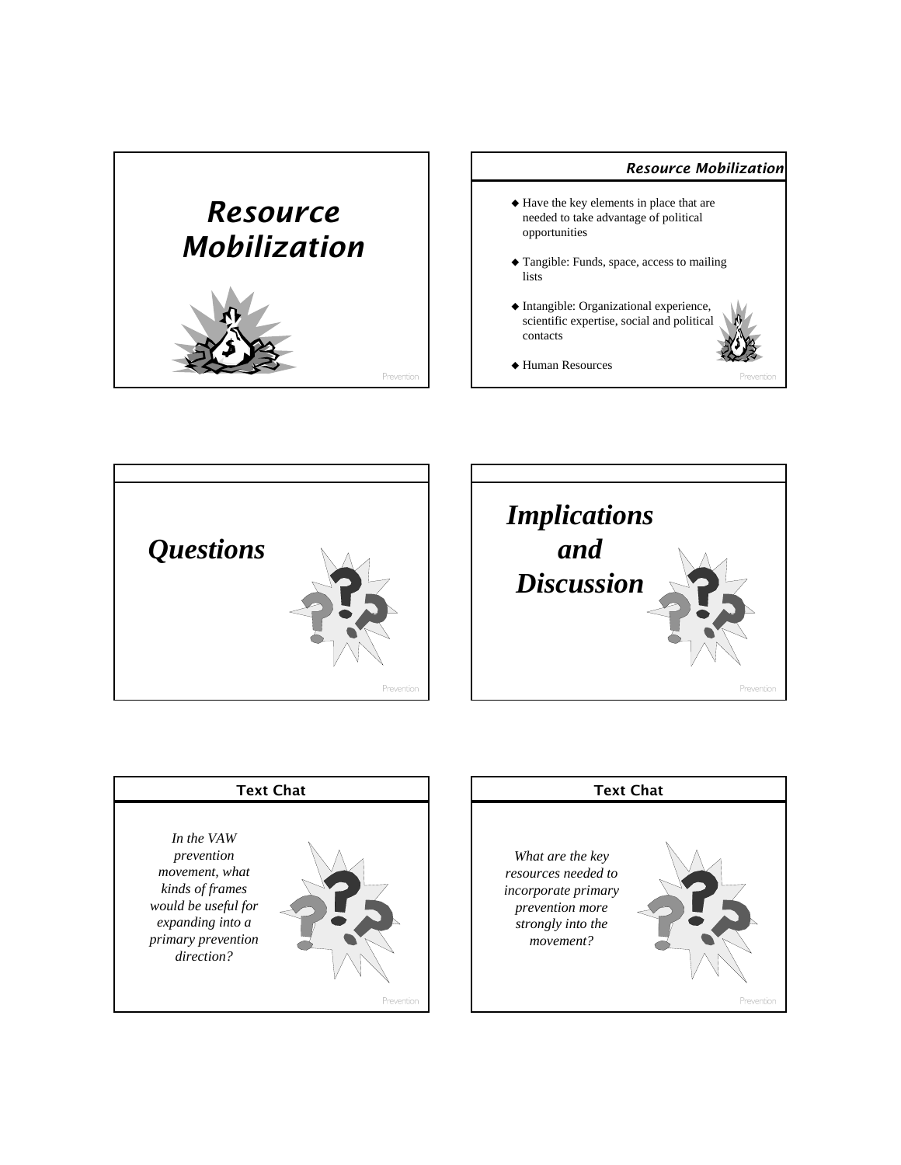









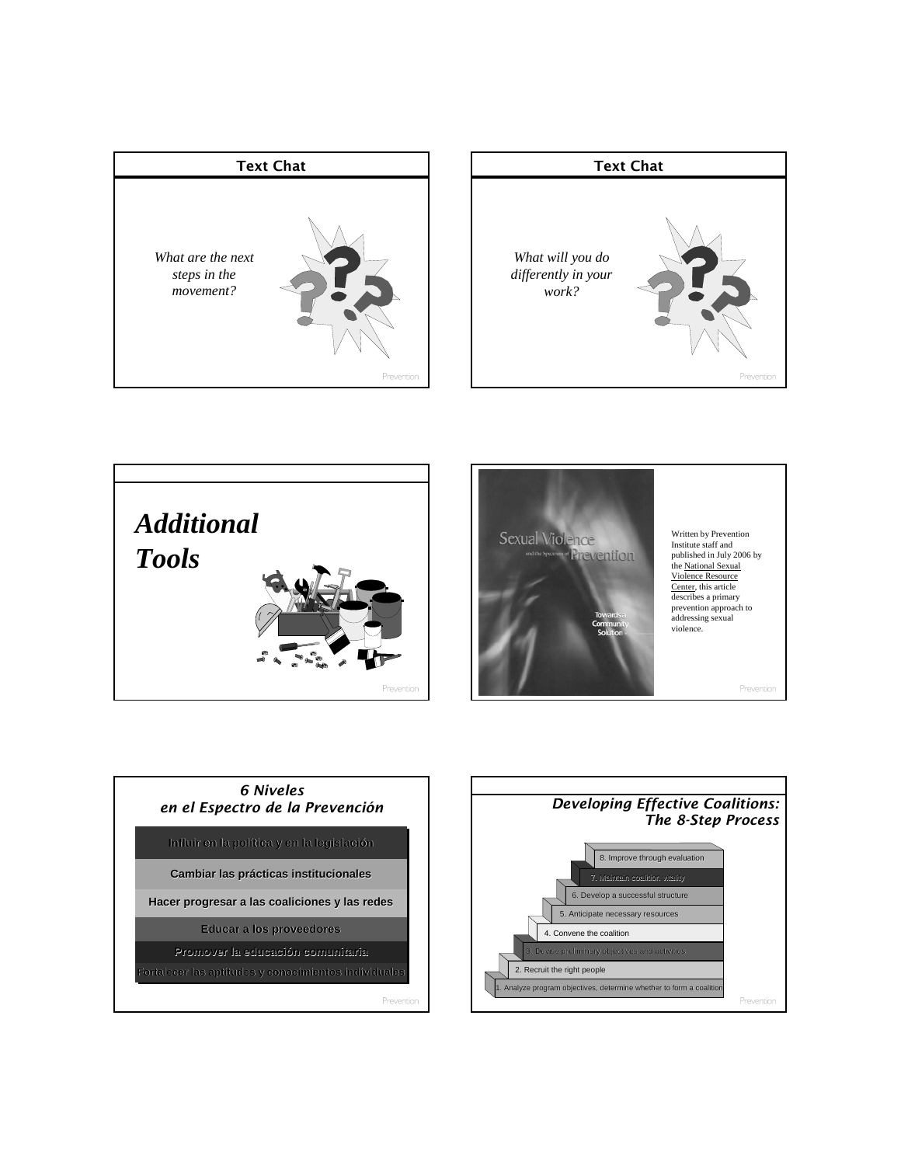







Written by Prevention Institute staff and published in July 2006 by the National Sexual Violence Resource Center, this article describes a primary prevention approach to addressing sexual violence.